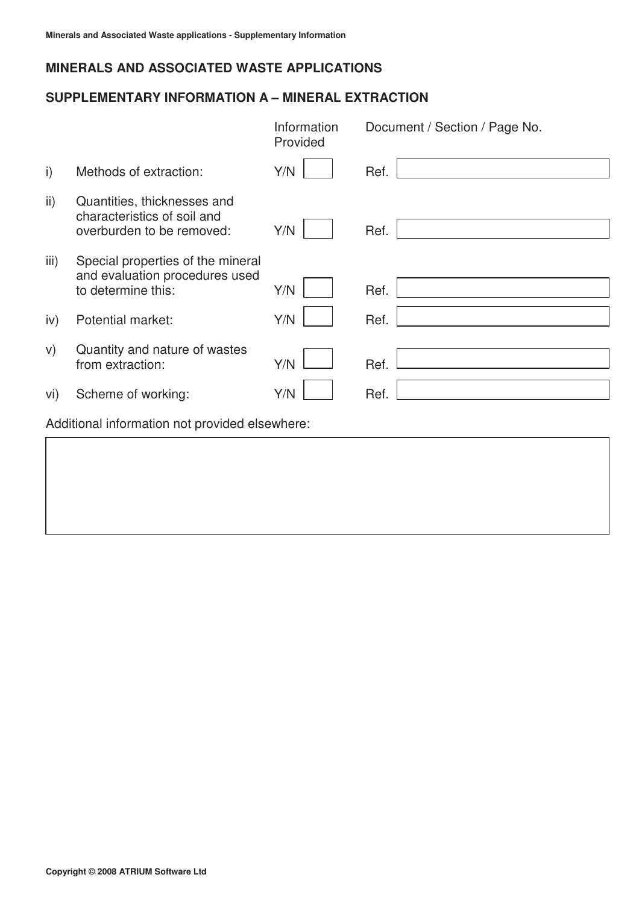### **SUPPLEMENTARY INFORMATION A – MINERAL EXTRACTION**

|                                                |                                                                                           | Information<br>Provided | Document / Section / Page No. |
|------------------------------------------------|-------------------------------------------------------------------------------------------|-------------------------|-------------------------------|
| $\mathsf{i}$                                   | Methods of extraction:                                                                    | Y/N                     | Ref.                          |
| $\mathsf{ii}$                                  | Quantities, thicknesses and<br>characteristics of soil and<br>overburden to be removed:   | Y/N                     | Ref.                          |
| iii)                                           | Special properties of the mineral<br>and evaluation procedures used<br>to determine this: | Y/N                     | Ref.                          |
| iv)                                            | Potential market:                                                                         | Y/N                     | Ref.                          |
| V)                                             | Quantity and nature of wastes<br>from extraction:                                         | Y/N                     | Ref.                          |
| Vİ)                                            | Scheme of working:                                                                        | Y/N                     | Ref.                          |
| Additional information not provided elsewhere: |                                                                                           |                         |                               |
|                                                |                                                                                           |                         |                               |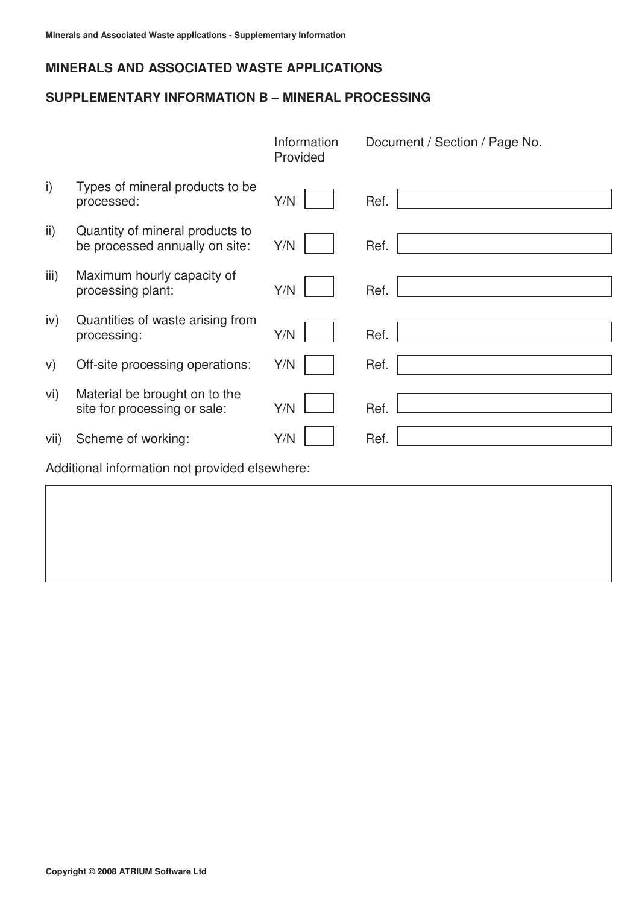#### **SUPPLEMENTARY INFORMATION B – MINERAL PROCESSING**

|                                                |                                                                   | Information<br>Provided | Document / Section / Page No. |  |
|------------------------------------------------|-------------------------------------------------------------------|-------------------------|-------------------------------|--|
| $\mathsf{i}$                                   | Types of mineral products to be<br>processed:                     | Y/N                     | Ref.                          |  |
| $\mathsf{ii}$                                  | Quantity of mineral products to<br>be processed annually on site: | Y/N                     | Ref.                          |  |
| iii)                                           | Maximum hourly capacity of<br>processing plant:                   | Y/N                     | Ref.                          |  |
| iv)                                            | Quantities of waste arising from<br>processing:                   | Y/N                     | Ref.                          |  |
| V)                                             | Off-site processing operations:                                   | Y/N                     | Ref.                          |  |
| vi)                                            | Material be brought on to the<br>site for processing or sale:     | Y/N                     | Ref.                          |  |
| vii)                                           | Scheme of working:                                                | Y/N                     | Ref.                          |  |
| Additional information not provided elsewhere: |                                                                   |                         |                               |  |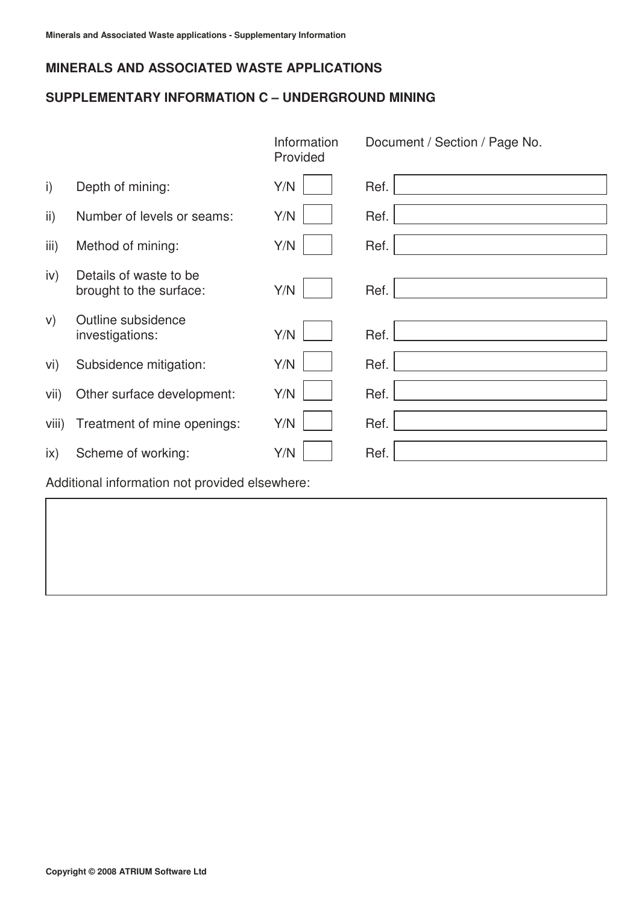### **SUPPLEMENTARY INFORMATION C – UNDERGROUND MINING**

|                                                |                                                   | Information<br>Provided | Document / Section / Page No. |  |
|------------------------------------------------|---------------------------------------------------|-------------------------|-------------------------------|--|
| $\mathsf{i}$                                   | Depth of mining:                                  | Y/N                     | Ref.                          |  |
| $\mathsf{ii}$ )                                | Number of levels or seams:                        | Y/N                     | Ref.                          |  |
| iii)                                           | Method of mining:                                 | Y/N                     | Ref.                          |  |
| iv)                                            | Details of waste to be<br>brought to the surface: | Y/N                     | Ref.                          |  |
| V)                                             | Outline subsidence<br>investigations:             | Y/N                     | Ref.                          |  |
| vi)                                            | Subsidence mitigation:                            | Y/N                     | Ref.                          |  |
| vii)                                           | Other surface development:                        | Y/N                     | Ref.                          |  |
| viii)                                          | Treatment of mine openings:                       | Y/N                     | Ref.                          |  |
| $\mathsf{ix}$                                  | Scheme of working:                                | Y/N                     | Ref.                          |  |
| Additional information not provided elsewhere: |                                                   |                         |                               |  |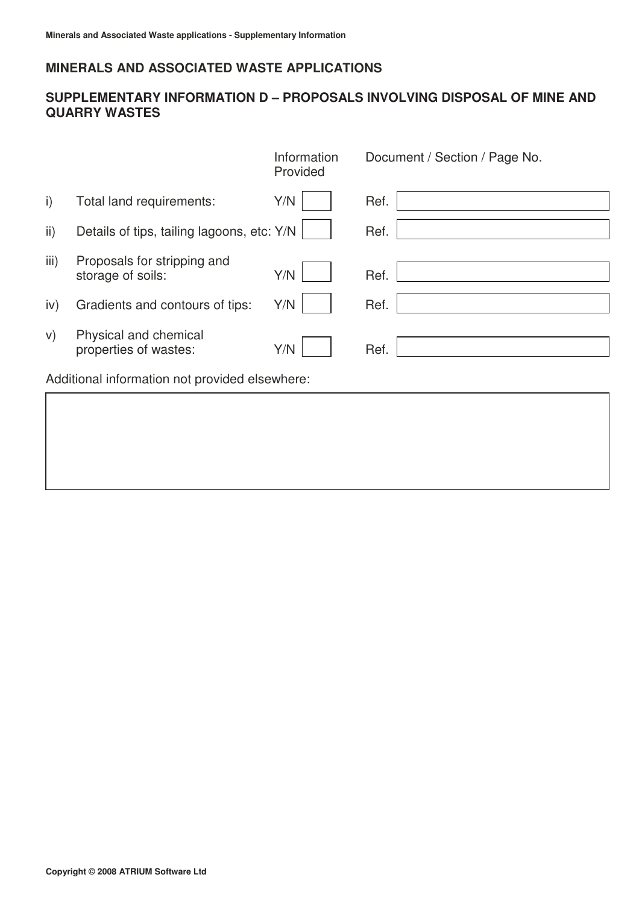## **SUPPLEMENTARY INFORMATION D – PROPOSALS INVOLVING DISPOSAL OF MINE AND QUARRY WASTES**

|      |                                                  | Information<br>Provided | Document / Section / Page No. |
|------|--------------------------------------------------|-------------------------|-------------------------------|
| i)   | Total land requirements:                         | Y/N                     | Ref.                          |
| ii)  | Details of tips, tailing lagoons, etc: Y/N       |                         | Ref.                          |
| iii) | Proposals for stripping and<br>storage of soils: | Y/N                     | Ref.                          |
| iv)  | Gradients and contours of tips:                  | Y/N                     | Ref.                          |
| V)   | Physical and chemical<br>properties of wastes:   | Y/N                     | Ref.                          |
|      | Additional information not provided elsewhere:   |                         |                               |
|      |                                                  |                         |                               |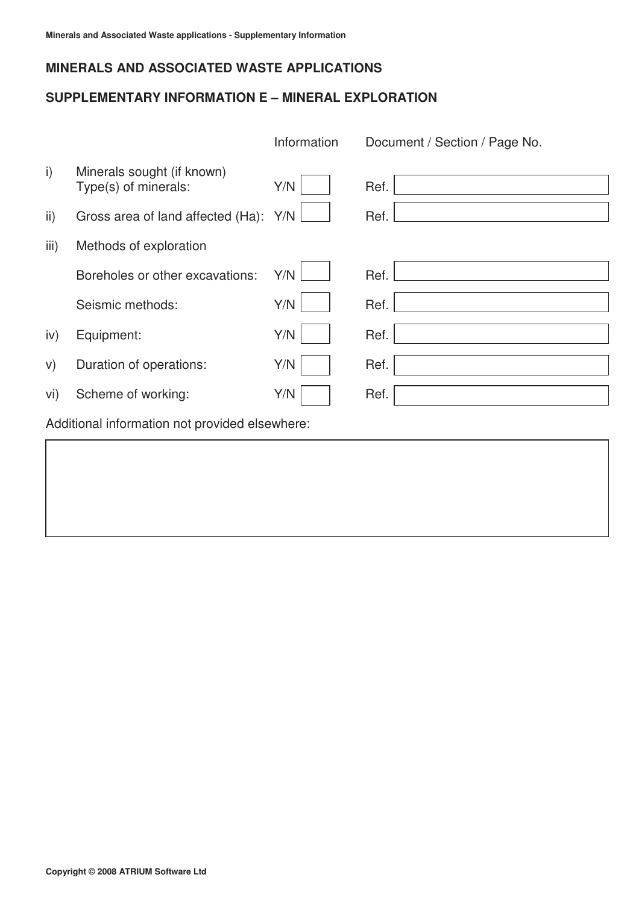### **SUPPLEMENTARY INFORMATION E – MINERAL EXPLORATION**

|                                                    | Information | Document / Section / Page No. |  |  |
|----------------------------------------------------|-------------|-------------------------------|--|--|
| Minerals sought (if known)<br>Type(s) of minerals: | Y/N         | Ref.                          |  |  |
| Gross area of land affected (Ha):                  | Y/N         | Ref.                          |  |  |
| Methods of exploration                             |             |                               |  |  |
| Boreholes or other excavations:                    | Y/N         | Ref.                          |  |  |
| Seismic methods:                                   | Y/N         | Ref.                          |  |  |
| Equipment:                                         | Y/N         | Ref.                          |  |  |
| Duration of operations:                            | Y/N         | Ref.                          |  |  |
| Scheme of working:                                 | Y/N         | Ref.                          |  |  |
| Additional information not provided elsewhere:     |             |                               |  |  |
|                                                    |             |                               |  |  |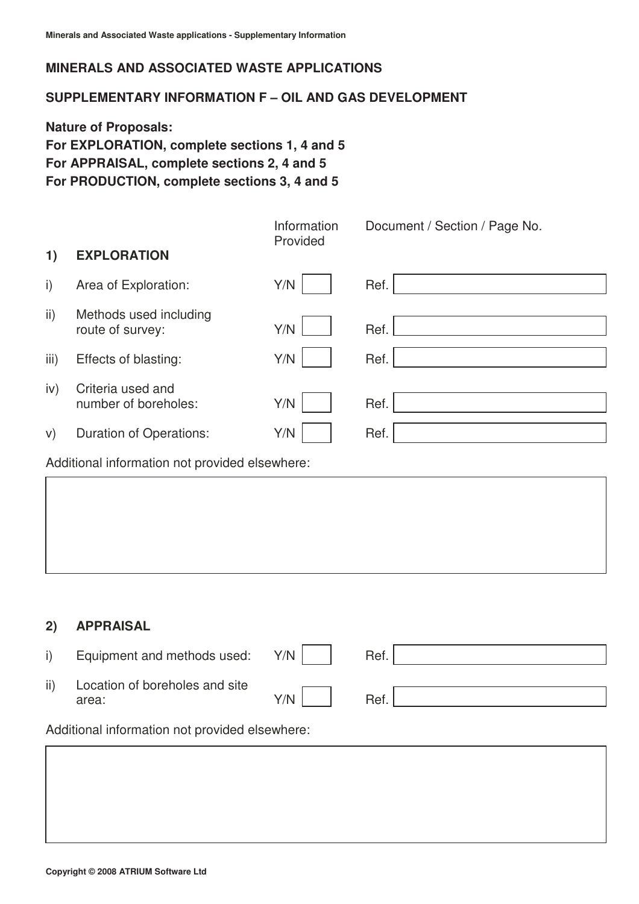### **SUPPLEMENTARY INFORMATION F – OIL AND GAS DEVELOPMENT**

**Nature of Proposals: For EXPLORATION, complete sections 1, 4 and 5 For APPRAISAL, complete sections 2, 4 and 5 For PRODUCTION, complete sections 3, 4 and 5** 

|               |                                            | Information<br>Provided | Document / Section / Page No. |
|---------------|--------------------------------------------|-------------------------|-------------------------------|
| 1)            | <b>EXPLORATION</b>                         |                         |                               |
| i)            | Area of Exploration:                       | Y/N                     | Ref.                          |
| $\mathsf{ii}$ | Methods used including<br>route of survey: | Y/N                     | Ref.                          |
| iii)          | Effects of blasting:                       | Y/N                     | Ref.                          |
| iv)           | Criteria used and<br>number of boreholes:  | Y/N                     | Ref.                          |
| V)            | <b>Duration of Operations:</b>             | Y/N                     | Ref.                          |

Additional information not provided elsewhere:

### **2) APPRAISAL**

|                                                    | Equipment and methods used: Y/N         |     | Ref. |  |
|----------------------------------------------------|-----------------------------------------|-----|------|--|
| ii)                                                | Location of boreholes and site<br>area: | Y/N | Ref. |  |
| Additional information not nearigladed algebraiche |                                         |     |      |  |

Additional information not provided elsewhere: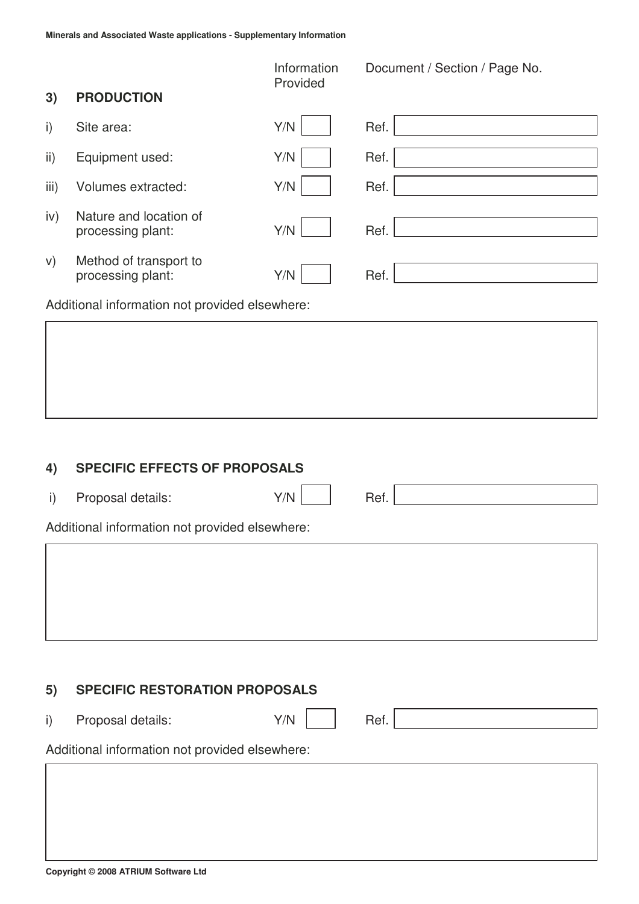|                 |                                             | Information<br>Provided | Document / Section / Page No. |  |  |
|-----------------|---------------------------------------------|-------------------------|-------------------------------|--|--|
| 3)              | <b>PRODUCTION</b>                           |                         |                               |  |  |
| $\mathsf{i}$    | Site area:                                  | Y/N                     | Ref.                          |  |  |
| $\mathsf{ii}$ ) | Equipment used:                             | Y/N                     | Ref.                          |  |  |
| iii)            | Volumes extracted:                          | Y/N                     | Ref.                          |  |  |
| iv)             | Nature and location of<br>processing plant: | Y/N                     | Ref.                          |  |  |
| V)              | Method of transport to<br>processing plant: | Y/N                     | Ref.                          |  |  |
|                 |                                             |                         |                               |  |  |

Additional information not provided elsewhere:

#### **4) SPECIFIC EFFECTS OF PROPOSALS**

i) Proposal details:  $Y/N$  Ref.

Additional information not provided elsewhere:

#### **5) SPECIFIC RESTORATION PROPOSALS**

i) Proposal details:  $Y/N$  | Ref.

Additional information not provided elsewhere: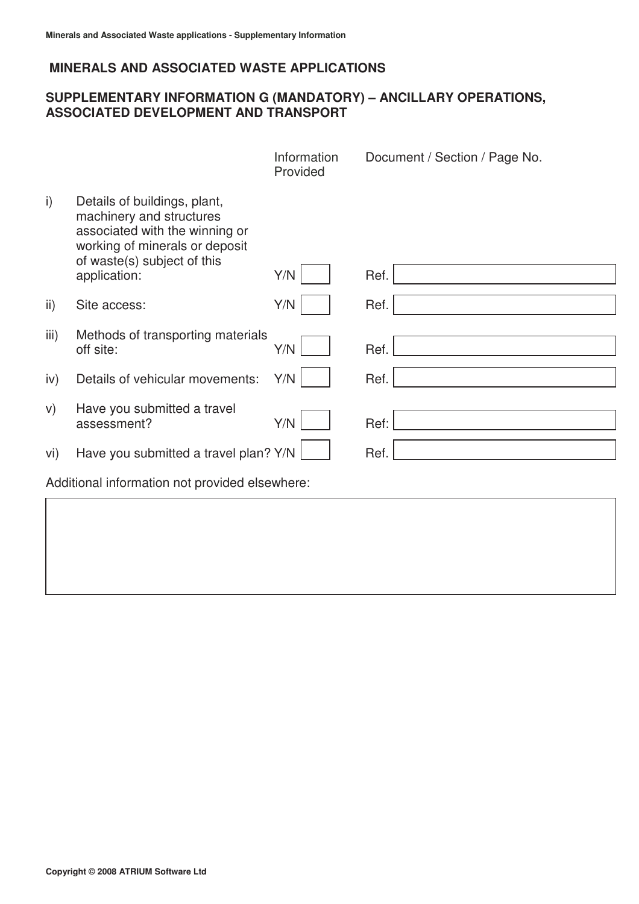### **SUPPLEMENTARY INFORMATION G (MANDATORY) – ANCILLARY OPERATIONS, ASSOCIATED DEVELOPMENT AND TRANSPORT**

|              |                                                                                                                                                             | Information<br>Provided | Document / Section / Page No. |
|--------------|-------------------------------------------------------------------------------------------------------------------------------------------------------------|-------------------------|-------------------------------|
| $\mathsf{i}$ | Details of buildings, plant,<br>machinery and structures<br>associated with the winning or<br>working of minerals or deposit<br>of waste(s) subject of this |                         |                               |
|              | application:                                                                                                                                                | Y/N                     | Ref.                          |
| ii)          | Site access:                                                                                                                                                | Y/N                     | Ref.                          |
| iii)         | Methods of transporting materials<br>off site:                                                                                                              | Y/N                     | Ref.                          |
| iv)          | Details of vehicular movements:                                                                                                                             | Y/N                     | Ref.                          |
| V)           | Have you submitted a travel<br>assessment?                                                                                                                  | Y/N                     | Ref:                          |
| vi)          | Have you submitted a travel plan? Y/N                                                                                                                       |                         | Ref.                          |
|              | Additional information not provided elsewhere:                                                                                                              |                         |                               |
|              |                                                                                                                                                             |                         |                               |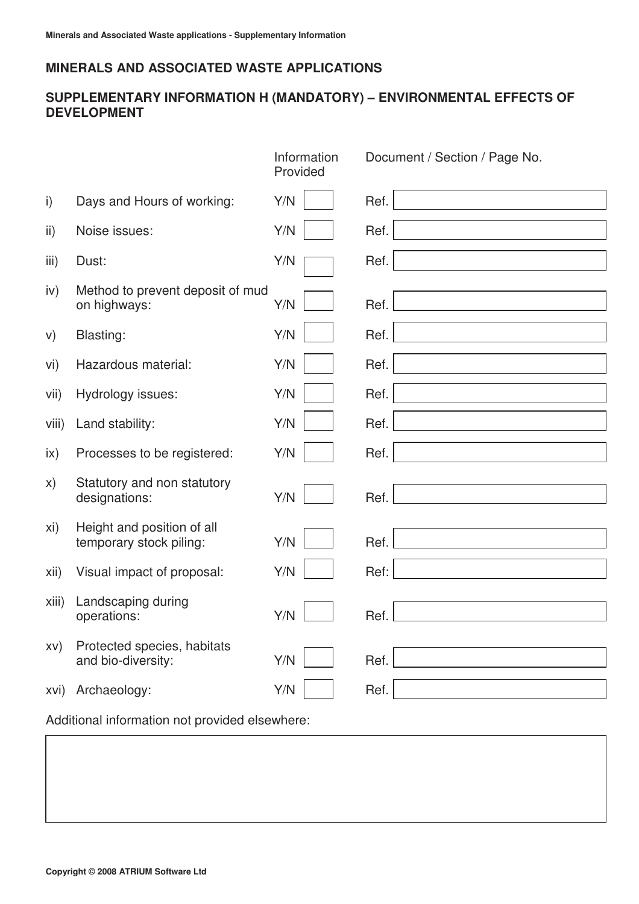# **SUPPLEMENTARY INFORMATION H (MANDATORY) – ENVIRONMENTAL EFFECTS OF DEVELOPMENT**

|               |                                                       | Information<br>Provided | Document / Section / Page No. |  |
|---------------|-------------------------------------------------------|-------------------------|-------------------------------|--|
| i)            | Days and Hours of working:                            | Y/N                     | Ref.                          |  |
| ii)           | Noise issues:                                         | Y/N                     | Ref.                          |  |
| iii)          | Dust:                                                 | Y/N                     | Ref.                          |  |
| iv)           | Method to prevent deposit of mud<br>on highways:      | Y/N                     | Ref.                          |  |
| V)            | <b>Blasting:</b>                                      | Y/N                     | Ref.                          |  |
| vi)           | Hazardous material:                                   | Y/N                     | Ref.                          |  |
| vii)          | Hydrology issues:                                     | Y/N                     | Ref.                          |  |
| viii)         | Land stability:                                       | Y/N                     | Ref.                          |  |
| $\mathsf{ix}$ | Processes to be registered:                           | Y/N                     | Ref.                          |  |
| X)            | Statutory and non statutory<br>designations:          | Y/N                     | Ref.                          |  |
| xi)           | Height and position of all<br>temporary stock piling: | Y/N                     | Ref.                          |  |
| xii)          | Visual impact of proposal:                            | Y/N                     | Ref:                          |  |
| xiii)         | Landscaping during<br>operations:                     | Y/N                     | Ref.                          |  |
| XV)           | Protected species, habitats<br>and bio-diversity:     | Y/N                     | Ref.                          |  |
| xvi)          | Archaeology:                                          | Y/N                     | Ref.                          |  |
|               | Additional information not provided elsewhere:        |                         |                               |  |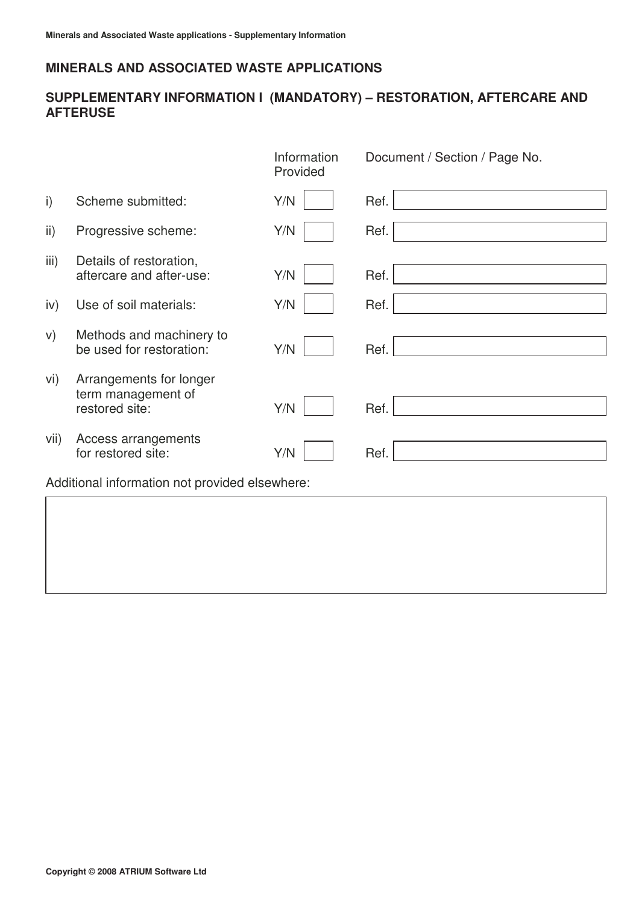# **SUPPLEMENTARY INFORMATION I (MANDATORY) – RESTORATION, AFTERCARE AND AFTERUSE**

|      |                                                                 | Information<br>Provided | Document / Section / Page No. |  |  |
|------|-----------------------------------------------------------------|-------------------------|-------------------------------|--|--|
| i)   | Scheme submitted:                                               | Y/N                     | Ref.                          |  |  |
| ii)  | Progressive scheme:                                             | Y/N                     | Ref.                          |  |  |
| iii) | Details of restoration,<br>aftercare and after-use:             | Y/N                     | Ref.                          |  |  |
| iv)  | Use of soil materials:                                          | Y/N                     | Ref.                          |  |  |
| V)   | Methods and machinery to<br>be used for restoration:            | Y/N                     | Ref.                          |  |  |
| vi)  | Arrangements for longer<br>term management of<br>restored site: | Y/N                     | Ref.                          |  |  |
| vii) | Access arrangements<br>for restored site:                       | Y/N                     | Ref.                          |  |  |
|      | Additional information not provided elsewhere:                  |                         |                               |  |  |
|      |                                                                 |                         |                               |  |  |
|      |                                                                 |                         |                               |  |  |